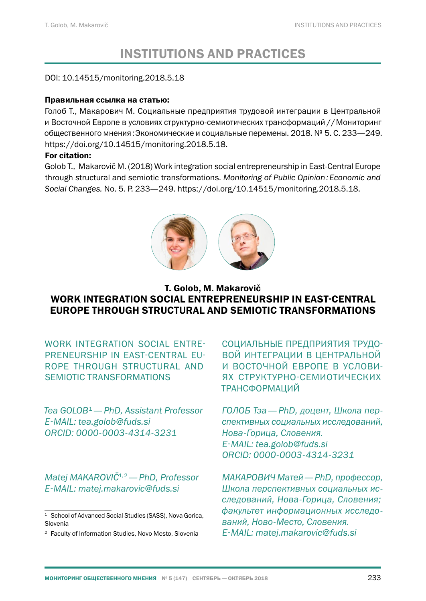# INSTITUTIONS AND PRACTICES

#### DOI: 10.14515/monitoring.2018.5.18

#### Правильная ссылка на статью:

Голоб Т., Макарович М. Социальные предприятия трудовой интеграции в Центральной и Восточной Европе в условиях структурно-семиотических трансформаций//Мониторинг общественного мнения:Экономические и социальные перемены. 2018. № 5. С. 233[—249](#page-16-0). https://doi.org/10.14515/monitoring.2018.5.18.

#### For citation:

Golob T., Makarovič M. (2018) Work integration social entrepreneurship in East-Central Europe through structural and semiotic transformations. *Monitoring of Public Opinion:Economic and Social Changes.* No. 5. P. 233—[249](#page-16-0). https://doi.org/10.14515/monitoring.2018.5.18.



# T. Golob, M. Makarovič WORK INTEGRATION SOCIAL ENTREPRENEURSHIP IN EAST-CENTRAL EUROPE THROUGH STRUCTURAL AND SEMIOTIC TRANSFORMATIONS

WORK INTEGRATION SOCIAL ENTRE-PRENEURSHIP IN EAST-CENTRAL EU-ROPE THROUGH STRUCTURAL AND SEMIOTIC TRANSFORMATIONS

*Tea GOLOB*<sup>1</sup>*— PhD, Assistant Professor E‑MAIL: tea.golob@fuds.si ORCID: 0000-0003-4314-3231*

*Matej MAKAROVIČ*1,2*— PhD, Professor E‑MAIL: matej.makarovic@fuds.si*

СОЦИАЛЬНЫЕ ПРЕДПРИЯТИЯ ТРУДО-ВОЙ ИНТЕГРАЦИИ В ЦЕНТРАЛЬНОЙ И ВОСТОЧНОЙ ЕВРОПЕ В УСЛОВИ-ЯХ СТРУКТУРНО-СЕМИОТИЧЕСКИХ ТРАНСФОРМАЦИЙ

*ГОЛОБ Тэа— PhD, доцент, Школа перспективных социальных исследований, Нова-Горица, Словения. E‑MAIL: tea.golob@fuds.si ORCID: 0000-0003-4314-3231*

*МАКАРОВИЧ Матей— PhD, профессор, Школа перспективных социальных исследований, Нова-Горица, Словения; факультет информационных исследований, Ново-Место, Словения. E‑MAIL: matej.makarovic@fuds.si*

<sup>&</sup>lt;sup>1</sup> School of Advanced Social Studies (SASS), Nova Gorica, Slovenia

<sup>2</sup> Faculty of Information Studies, Novo Mesto, Slovenia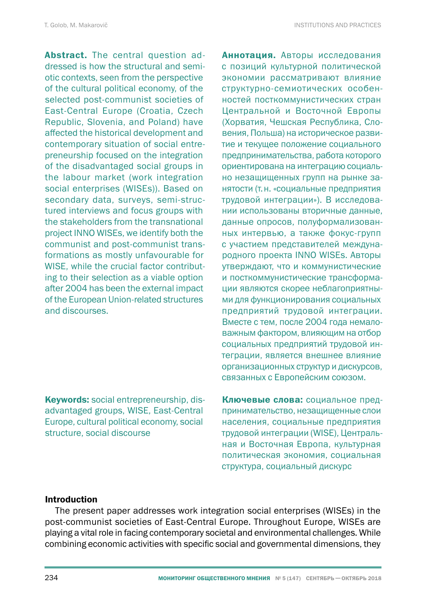Abstract. The central question addressed is how the structural and semiotic contexts, seen from the perspective of the cultural political economy, of the selected post-communist societies of East-Central Europe (Croatia, Czech Republic, Slovenia, and Poland) have affected the historical development and contemporary situation of social entrepreneurship focused on the integration of the disadvantaged social groups in the labour market (work integration social enterprises (WISEs)). Based on secondary data, surveys, semi-structured interviews and focus groups with the stakeholders from the transnational project INNO WISEs, we identify both the communist and post-communist transformations as mostly unfavourable for WISE, while the crucial factor contributing to their selection as a viable option after 2004 has been the external impact of the European Union-related structures and discourses.

Keywords: social entrepreneurship, disadvantaged groups, WISE, East-Central Europe, cultural political economy, social structure, social discourse

Аннотация. Авторы исследования с позиций культурной политической экономии рассматривают влияние структурно-семиотических особенностей посткоммунистических стран Центральной и Восточной Европы (Хорватия, Чешская Республика, Словения, Польша) на историческое развитие и текущее положение социального предпринимательства, работа которого ориентирована на интеграцию социально незащищенных групп на рынке занятости (т.н. «социальные предприятия трудовой интеграции»). В исследовании использованы вторичные данные, данные опросов, полуформализованных интервью, а также фокус-групп с участием представителей международного проекта INNO WISEs. Авторы утверждают, что и коммунистические и посткоммунистические трансформации являются скорее неблагоприятными для функционирования социальных предприятий трудовой интеграции. Вместе с тем, после 2004 года немаловажным фактором, влияющим на отбор социальных предприятий трудовой интеграции, является внешнее влияние организационных структур и дискурсов, связанных с Европейским союзом.

Ключевые слова: социальное предпринимательство, незащищенные слои населения, социальные предприятия трудовой интеграции (WISE), Центральная и Восточная Европа, культурная политическая экономия, социальная структура, социальный дискурс

#### **Introduction**

The present paper addresses work integration social enterprises (WISEs) in the post-communist societies of East-Central Europe. Throughout Europe, WISEs are playing a vital role in facing contemporary societal and environmental challenges. While combining economic activities with specific social and governmental dimensions, they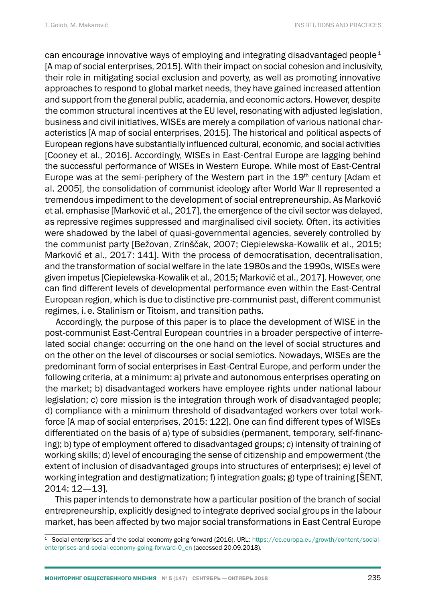can encourage innovative ways of employing and integrating disadvantaged people<sup>1</sup> [A map of social enterprises, 2015]. With their impact on social cohesion and inclusivity, their role in mitigating social exclusion and poverty, as well as promoting innovative approaches to respond to global market needs, they have gained increased attention and support from the general public, academia, and economic actors. However, despite the common structural incentives at the EU level, resonating with adjusted legislation, business and civil initiatives, WISEs are merely a compilation of various national characteristics [A map of social enterprises, 2015]. The historical and political aspects of European regions have substantially influenced cultural, economic, and social activities [Cooney et al., 2016]. Accordingly, WISEs in East-Central Europe are lagging behind the successful performance of WISEs in Western Europe. While most of East-Central Europe was at the semi-periphery of the Western part in the  $19<sup>th</sup>$  century [Adam et al. 2005], the consolidation of communist ideology after World War II represented a tremendous impediment to the development of social entrepreneurship. As Marković et al. emphasise [Marković et al., 2017], the emergence of the civil sector was delayed, as repressive regimes suppressed and marginalised civil society. Often, its activities were shadowed by the label of quasi-governmental agencies, severely controlled by the communist party [Bežovan, Zrinščak, 2007; Ciepielewska-Kowalik et al., 2015; Marković et al., 2017: 141]. With the process of democratisation, decentralisation, and the transformation of social welfare in the late 1980s and the 1990s, WISEs were given impetus [Ciepielewska-Kowalik et al., 2015; Marković et al., 2017]. However, one can find different levels of developmental performance even within the East-Central European region, which is due to distinctive pre-communist past, different communist regimes, i.e. Stalinism or Titoism, and transition paths.

Accordingly, the purpose of this paper is to place the development of WISE in the post-communist East-Central European countries in a broader perspective of interrelated social change: occurring on the one hand on the level of social structures and on the other on the level of discourses or social semiotics. Nowadays, WISEs are the predominant form of social enterprises in East-Central Europe, and perform under the following criteria, at a minimum: a) private and autonomous enterprises operating on the market; b) disadvantaged workers have employee rights under national labour legislation; c) core mission is the integration through work of disadvantaged people; d) compliance with a minimum threshold of disadvantaged workers over total workforce [A map of social enterprises, 2015: 122]. One can find different types of WISEs differentiated on the basis of a) type of subsidies (permanent, temporary, self-financing); b) type of employment offered to disadvantaged groups; c) intensity of training of working skills; d) level of encouraging the sense of citizenship and empowerment (the extent of inclusion of disadvantaged groups into structures of enterprises); e) level of working integration and destigmatization; f) integration goals; g) type of training [ŠENT, 2014: 12—13].

This paper intends to demonstrate how a particular position of the branch of social entrepreneurship, explicitly designed to integrate deprived social groups in the labour market, has been affected by two major social transformations in East Central Europe

<sup>1</sup> Social enterprises and the social economy going forward (2016). URL: [https://ec.europa.eu/growth/content/social](https://ec.europa.eu/growth/content/social-enterprises-and-social-economy-going-forward-0_en)[enterprises-and-social-economy-going-forward-0\\_en](https://ec.europa.eu/growth/content/social-enterprises-and-social-economy-going-forward-0_en) (accessed 20.09.2018).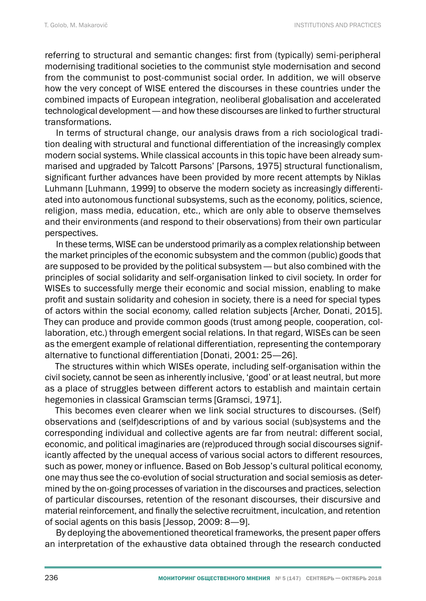referring to structural and semantic changes: first from (typically) semi-peripheral modernising traditional societies to the communist style modernisation and second from the communist to post-communist social order. In addition, we will observe how the very concept of WISE entered the discourses in these countries under the combined impacts of European integration, neoliberal globalisation and accelerated technological development— and how these discourses are linked to further structural transformations.

In terms of structural change, our analysis draws from a rich sociological tradition dealing with structural and functional differentiation of the increasingly complex modern social systems. While classical accounts in this topic have been already summarised and upgraded by Talcott Parsons' [Parsons, 1975] structural functionalism, significant further advances have been provided by more recent attempts by Niklas Luhmann [Luhmann, 1999] to observe the modern society as increasingly differentiated into autonomous functional subsystems, such as the economy, politics, science, religion, mass media, education, etc., which are only able to observe themselves and their environments (and respond to their observations) from their own particular perspectives.

In these terms, WISE can be understood primarily as a complex relationship between the market principles of the economic subsystem and the common (public) goods that are supposed to be provided by the political subsystem— but also combined with the principles of social solidarity and self-organisation linked to civil society. In order for WISEs to successfully merge their economic and social mission, enabling to make profit and sustain solidarity and cohesion in society, there is a need for special types of actors within the social economy, called relation subjects [Archer, Donati, 2015]. They can produce and provide common goods (trust among people, cooperation, collaboration, etc.) through emergent social relations. In that regard, WISEs can be seen as the emergent example of relational differentiation, representing the contemporary alternative to functional differentiation [Donati, 2001: 25—26].

The structures within which WISEs operate, including self-organisation within the civil society, cannot be seen as inherently inclusive, 'good' or at least neutral, but more as a place of struggles between different actors to establish and maintain certain hegemonies in classical Gramscian terms [Gramsci, 1971].

This becomes even clearer when we link social structures to discourses. (Self) observations and (self)descriptions of and by various social (sub)systems and the corresponding individual and collective agents are far from neutral: different social, economic, and political imaginaries are (re)produced through social discourses significantly affected by the unequal access of various social actors to different resources, such as power, money or influence. Based on Bob Jessop's cultural political economy, one may thus see the co-evolution of social structuration and social semiosis as determined by the on-going processes of variation in the discourses and practices, selection of particular discourses, retention of the resonant discourses, their discursive and material reinforcement, and finally the selective recruitment, inculcation, and retention of social agents on this basis [Jessop, 2009: 8—9].

By deploying the abovementioned theoretical frameworks, the present paper offers an interpretation of the exhaustive data obtained through the research conducted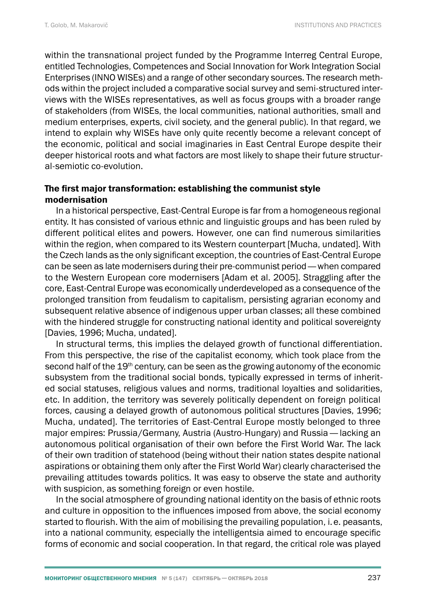within the transnational project funded by the Programme Interreg Central Europe, entitled Technologies, Competences and Social Innovation for Work Integration Social Enterprises (INNO WISEs) and a range of other secondary sources. The research methods within the project included a comparative social survey and semi-structured interviews with the WISEs representatives, as well as focus groups with a broader range of stakeholders (from WISEs, the local communities, national authorities, small and medium enterprises, experts, civil society, and the general public). In that regard, we intend to explain why WISEs have only quite recently become a relevant concept of the economic, political and social imaginaries in East Central Europe despite their deeper historical roots and what factors are most likely to shape their future structural-semiotic co-evolution.

# The first major transformation: establishing the communist style modernisation

In a historical perspective, East-Central Europe is far from a homogeneous regional entity. It has consisted of various ethnic and linguistic groups and has been ruled by different political elites and powers. However, one can find numerous similarities within the region, when compared to its Western counterpart [Mucha, undated]. With the Czech lands as the only significant exception, the countries of East-Central Europe can be seen as late modernisers during their pre-communist period— when compared to the Western European core modernisers [Adam et al. 2005]. Straggling after the core, East-Central Europe was economically underdeveloped as a consequence of the prolonged transition from feudalism to capitalism, persisting agrarian economy and subsequent relative absence of indigenous upper urban classes; all these combined with the hindered struggle for constructing national identity and political sovereignty [Davies, 1996; Mucha, undated].

In structural terms, this implies the delayed growth of functional differentiation. From this perspective, the rise of the capitalist economy, which took place from the second half of the 19<sup>th</sup> century, can be seen as the growing autonomy of the economic subsystem from the traditional social bonds, typically expressed in terms of inherited social statuses, religious values and norms, traditional loyalties and solidarities, etc. In addition, the territory was severely politically dependent on foreign political forces, causing a delayed growth of autonomous political structures [Davies, 1996; Mucha, undated]. The territories of East-Central Europe mostly belonged to three major empires: Prussia/Germany, Austria (Austro-Hungary) and Russia— lacking an autonomous political organisation of their own before the First World War. The lack of their own tradition of statehood (being without their nation states despite national aspirations or obtaining them only after the First World War) clearly characterised the prevailing attitudes towards politics. It was easy to observe the state and authority with suspicion, as something foreign or even hostile.

In the social atmosphere of grounding national identity on the basis of ethnic roots and culture in opposition to the influences imposed from above, the social economy started to flourish. With the aim of mobilising the prevailing population, i.e. peasants, into a national community, especially the intelligentsia aimed to encourage specific forms of economic and social cooperation. In that regard, the critical role was played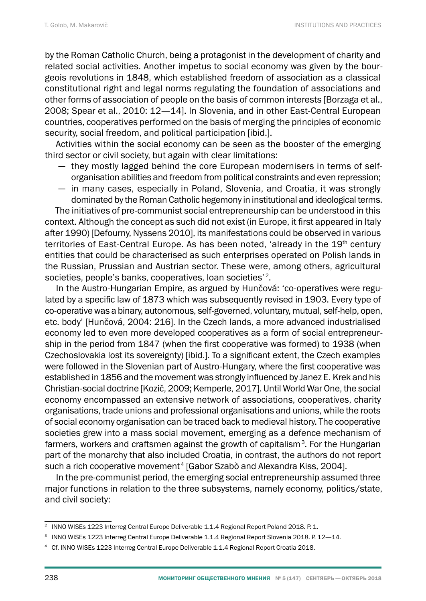by the Roman Catholic Church, being a protagonist in the development of charity and related social activities. Another impetus to social economy was given by the bourgeois revolutions in 1848, which established freedom of association as a classical constitutional right and legal norms regulating the foundation of associations and other forms of association of people on the basis of common interests [Borzaga et al., 2008; Spear et al., 2010: 12—14]. In Slovenia, and in other East-Central European countries, cooperatives performed on the basis of merging the principles of economic security, social freedom, and political participation [ibid.].

Activities within the social economy can be seen as the booster of the emerging third sector or civil society, but again with clear limitations:

- they mostly lagged behind the core European modernisers in terms of selforganisation abilities and freedom from political constraints and even repression;
- in many cases, especially in Poland, Slovenia, and Croatia, it was strongly dominated by the Roman Catholic hegemony in institutional and ideological terms.

The initiatives of pre-communist social entrepreneurship can be understood in this context. Although the concept as such did not exist (in Europe, it first appeared in Italy after 1990) [Defourny, Nyssens 2010], its manifestations could be observed in various territories of East-Central Europe. As has been noted, 'already in the 19<sup>th</sup> century entities that could be characterised as such enterprises operated on Polish lands in the Russian, Prussian and Austrian sector. These were, among others, agricultural societies, people's banks, cooperatives, loan societies'<sup>2</sup>.

In the Austro-Hungarian Empire, as argued by Hunčová: 'co-operatives were regulated by a specific law of 1873 which was subsequently revised in 1903. Every type of co-operative was a binary, autonomous, self-governed, voluntary, mutual, self-help, open, etc. body' [Hunčová, 2004: 216]. In the Czech lands, a more advanced industrialised economy led to even more developed cooperatives as a form of social entrepreneurship in the period from 1847 (when the first cooperative was formed) to 1938 (when Czechoslovakia lost its sovereignty) [ibid.]. To a significant extent, the Czech examples were followed in the Slovenian part of Austro-Hungary, where the first cooperative was established in 1856 and the movement was strongly influenced by Janez E. Krek and his Christian-social doctrine [Kozič, 2009; Kemperle, 2017]. Until World War One, the social economy encompassed an extensive network of associations, cooperatives, charity organisations, trade unions and professional organisations and unions, while the roots of social economy organisation can be traced back to medieval history. The cooperative societies grew into a mass social movement, emerging as a defence mechanism of farmers, workers and craftsmen against the growth of capitalism<sup>3</sup>. For the Hungarian part of the monarchy that also included Croatia, in contrast, the authors do not report such a rich cooperative movement<sup>4</sup> [Gabor Szabò and Alexandra Kiss, 2004].

In the pre-communist period, the emerging social entrepreneurship assumed three major functions in relation to the three subsystems, namely economy, politics/state, and civil society:

<sup>&</sup>lt;sup>2</sup> INNO WISEs 1223 Interreg Central Europe Deliverable 1.1.4 Regional Report Poland 2018. P. 1.

<sup>&</sup>lt;sup>3</sup> INNO WISEs 1223 Interreg Central Europe Deliverable 1.1.4 Regional Report Slovenia 2018. P. 12-14.

<sup>4</sup> Cf. INNO WISEs 1223 Interreg Central Europe Deliverable 1.1.4 Regional Report Croatia 2018.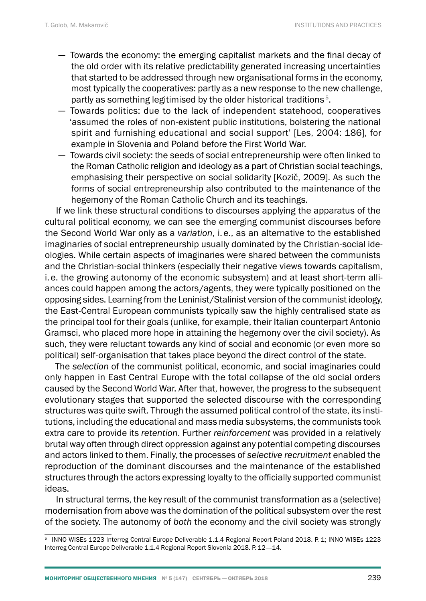- Towards the economy: the emerging capitalist markets and the final decay of the old order with its relative predictability generated increasing uncertainties that started to be addressed through new organisational forms in the economy, most typically the cooperatives: partly as a new response to the new challenge, partly as something legitimised by the older historical traditions<sup>5</sup>.
- Towards politics: due to the lack of independent statehood, cooperatives 'assumed the roles of non-existent public institutions, bolstering the national spirit and furnishing educational and social support' [Les, 2004: 186], for example in Slovenia and Poland before the First World War.
- Towards civil society: the seeds of social entrepreneurship were often linked to the Roman Catholic religion and ideology as a part of Christian social teachings, emphasising their perspective on social solidarity [Kozič, 2009]. As such the forms of social entrepreneurship also contributed to the maintenance of the hegemony of the Roman Catholic Church and its teachings.

If we link these structural conditions to discourses applying the apparatus of the cultural political economy, we can see the emerging communist discourses before the Second World War only as a *variation*, i.e., as an alternative to the established imaginaries of social entrepreneurship usually dominated by the Christian-social ideologies. While certain aspects of imaginaries were shared between the communists and the Christian-social thinkers (especially their negative views towards capitalism, i.e. the growing autonomy of the economic subsystem) and at least short-term alliances could happen among the actors/agents, they were typically positioned on the opposing sides. Learning from the Leninist/Stalinist version of the communist ideology, the East-Central European communists typically saw the highly centralised state as the principal tool for their goals (unlike, for example, their Italian counterpart Antonio Gramsci, who placed more hope in attaining the hegemony over the civil society). As such, they were reluctant towards any kind of social and economic (or even more so political) self-organisation that takes place beyond the direct control of the state.

The *selection* of the communist political, economic, and social imaginaries could only happen in East Central Europe with the total collapse of the old social orders caused by the Second World War. After that, however, the progress to the subsequent evolutionary stages that supported the selected discourse with the corresponding structures was quite swift. Through the assumed political control of the state, its institutions, including the educational and mass media subsystems, the communists took extra care to provide its *retention*. Further *reinforcement* was provided in a relatively brutal way often through direct oppression against any potential competing discourses and actors linked to them. Finally, the processes of *selective recruitment* enabled the reproduction of the dominant discourses and the maintenance of the established structures through the actors expressing loyalty to the officially supported communist ideas.

In structural terms, the key result of the communist transformation as a (selective) modernisation from above was the domination of the political subsystem over the rest of the society. The autonomy of *both* the economy and the civil society was strongly

<sup>5</sup> INNO WISEs 1223 Interreg Central Europe Deliverable 1.1.4 Regional Report Poland 2018. P. 1; INNO WISEs 1223 Interreg Central Europe Deliverable 1.1.4 Regional Report Slovenia 2018. P. 12—14.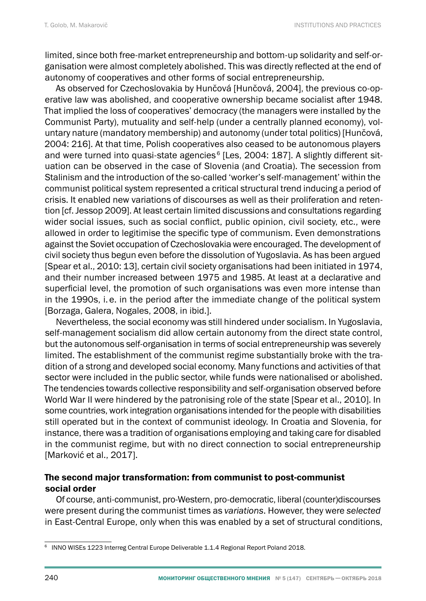limited, since both free-market entrepreneurship and bottom-up solidarity and self-organisation were almost completely abolished. This was directly reflected at the end of autonomy of cooperatives and other forms of social entrepreneurship.

As observed for Czechoslovakia by Hunčová [Hunčová, 2004], the previous co-operative law was abolished, and cooperative ownership became socialist after 1948. That implied the loss of cooperatives' democracy (the managers were installed by the Communist Party), mutuality and self-help (under a centrally planned economy), voluntary nature (mandatory membership) and autonomy (under total politics) [Hunčová, 2004: 216]. At that time, Polish cooperatives also ceased to be autonomous players and were turned into quasi-state agencies<sup>6</sup> [Les, 2004: 187]. A slightly different situation can be observed in the case of Slovenia (and Croatia). The secession from Stalinism and the introduction of the so-called 'worker's self-management' within the communist political system represented a critical structural trend inducing a period of crisis. It enabled new variations of discourses as well as their proliferation and retention [cf. Jessop 2009]. At least certain limited discussions and consultations regarding wider social issues, such as social conflict, public opinion, civil society, etc., were allowed in order to legitimise the specific type of communism. Even demonstrations against the Soviet occupation of Czechoslovakia were encouraged. The development of civil society thus begun even before the dissolution of Yugoslavia. As has been argued [Spear et al., 2010: 13], certain civil society organisations had been initiated in 1974, and their number increased between 1975 and 1985. At least at a declarative and superficial level, the promotion of such organisations was even more intense than in the 1990s, i. e. in the period after the immediate change of the political system [Borzaga, Galera, Nogales, 2008, in ibid.].

Nevertheless, the social economy was still hindered under socialism. In Yugoslavia, self-management socialism did allow certain autonomy from the direct state control, but the autonomous self-organisation in terms of social entrepreneurship was severely limited. The establishment of the communist regime substantially broke with the tradition of a strong and developed social economy. Many functions and activities of that sector were included in the public sector, while funds were nationalised or abolished. The tendencies towards collective responsibility and self-organisation observed before World War II were hindered by the patronising role of the state [Spear et al., 2010]. In some countries, work integration organisations intended for the people with disabilities still operated but in the context of communist ideology. In Croatia and Slovenia, for instance, there was a tradition of organisations employing and taking care for disabled in the communist regime, but with no direct connection to social entrepreneurship [Marković et al., 2017].

## The second major transformation: from communist to post-communist social order

Of course, anti-communist, pro-Western, pro-democratic, liberal (counter)discourses were present during the communist times as *variations*. However, they were *selected* in East-Central Europe, only when this was enabled by a set of structural conditions,

<sup>6</sup> INNO WISEs 1223 Interreg Central Europe Deliverable 1.1.4 Regional Report Poland 2018.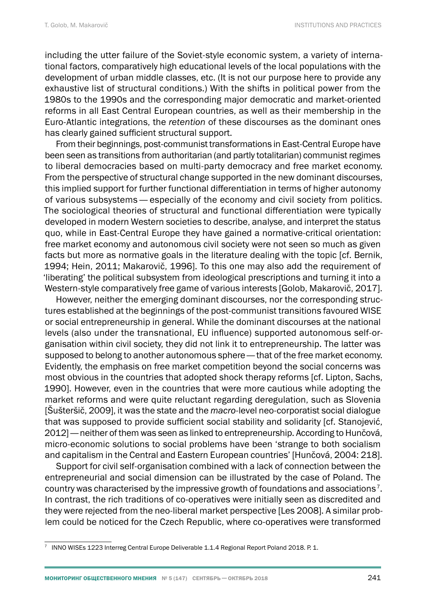including the utter failure of the Soviet-style economic system, a variety of international factors, comparatively high educational levels of the local populations with the development of urban middle classes, etc. (It is not our purpose here to provide any exhaustive list of structural conditions.) With the shifts in political power from the 1980s to the 1990s and the corresponding major democratic and market-oriented reforms in all East Central European countries, as well as their membership in the Euro-Atlantic integrations, the *retention* of these discourses as the dominant ones has clearly gained sufficient structural support.

From their beginnings, post-communist transformations in East-Central Europe have been seen as transitions from authoritarian (and partly totalitarian) communist regimes to liberal democracies based on multi-party democracy and free market economy. From the perspective of structural change supported in the new dominant discourses, this implied support for further functional differentiation in terms of higher autonomy of various subsystems— especially of the economy and civil society from politics. The sociological theories of structural and functional differentiation were typically developed in modern Western societies to describe, analyse, and interpret the status quo, while in East-Central Europe they have gained a normative-critical orientation: free market economy and autonomous civil society were not seen so much as given facts but more as normative goals in the literature dealing with the topic [cf. Bernik, 1994; Hein, 2011; Makarovič, 1996]. To this one may also add the requirement of 'liberating' the political subsystem from ideological prescriptions and turning it into a Western-style comparatively free game of various interests [Golob, Makarovič, 2017].

However, neither the emerging dominant discourses, nor the corresponding structures established at the beginnings of the post-communist transitions favoured WISE or social entrepreneurship in general. While the dominant discourses at the national levels (also under the transnational, EU influence) supported autonomous self-organisation within civil society, they did not link it to entrepreneurship. The latter was supposed to belong to another autonomous sphere— that of the free market economy. Evidently, the emphasis on free market competition beyond the social concerns was most obvious in the countries that adopted shock therapy reforms [cf. Lipton, Sachs, 1990]. However, even in the countries that were more cautious while adopting the market reforms and were quite reluctant regarding deregulation, such as Slovenia [Šušteršič, 2009], it was the state and the *macro*-level neo-corporatist social dialogue that was supposed to provide sufficient social stability and solidarity [cf. Stanojević, 2012]— neither of them was seen as linked to entrepreneurship. According to Hunčová, micro-economic solutions to social problems have been 'strange to both socialism and capitalism in the Central and Eastern European countries' [Hunčová, 2004: 218].

Support for civil self-organisation combined with a lack of connection between the entrepreneurial and social dimension can be illustrated by the case of Poland. The country was characterised by the impressive growth of foundations and associations 7. In contrast, the rich traditions of co-operatives were initially seen as discredited and they were rejected from the neo-liberal market perspective [Les 2008]. A similar problem could be noticed for the Czech Republic, where co-operatives were transformed

<sup>7</sup> INNO WISEs 1223 Interreg Central Europe Deliverable 1.1.4 Regional Report Poland 2018. P. 1.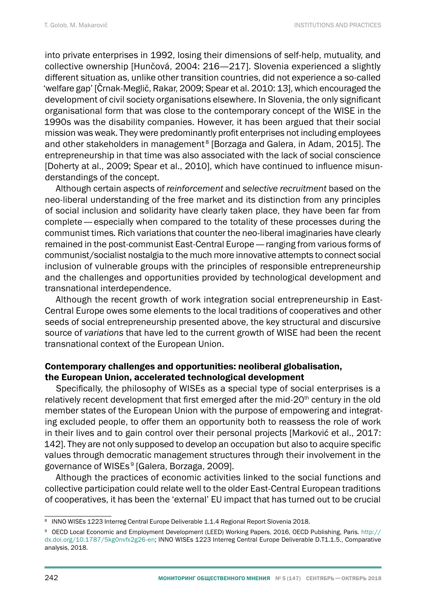into private enterprises in 1992, losing their dimensions of self-help, mutuality, and collective ownership [Hunčová, 2004: 216—217]. Slovenia experienced a slightly different situation as, unlike other transition countries, did not experience a so-called 'welfare gap' [Črnak-Meglič, Rakar, 2009; Spear et al. 2010: 13], which encouraged the development of civil society organisations elsewhere. In Slovenia, the only significant organisational form that was close to the contemporary concept of the WISE in the 1990s was the disability companies. However, it has been argued that their social mission was weak. They were predominantly profit enterprises not including employees and other stakeholders in management<sup>8</sup> [Borzaga and Galera, in Adam, 2015]. The entrepreneurship in that time was also associated with the lack of social conscience [Doherty at al., 2009; Spear et al., 2010], which have continued to influence misunderstandings of the concept.

Although certain aspects of *reinforcement* and *selective recruitment* based on the neo-liberal understanding of the free market and its distinction from any principles of social inclusion and solidarity have clearly taken place, they have been far from complete— especially when compared to the totality of these processes during the communist times. Rich variations that counter the neo-liberal imaginaries have clearly remained in the post-communist East-Central Europe— ranging from various forms of communist/socialist nostalgia to the much more innovative attempts to connect social inclusion of vulnerable groups with the principles of responsible entrepreneurship and the challenges and opportunities provided by technological development and transnational interdependence.

Although the recent growth of work integration social entrepreneurship in East-Central Europe owes some elements to the local traditions of cooperatives and other seeds of social entrepreneurship presented above, the key structural and discursive source of *variations* that have led to the current growth of WISE had been the recent transnational context of the European Union.

### Contemporary challenges and opportunities: neoliberal globalisation, the European Union, accelerated technological development

Specifically, the philosophy of WISEs as a special type of social enterprises is a relatively recent development that first emerged after the mid- $20<sup>th</sup>$  century in the old member states of the European Union with the purpose of empowering and integrating excluded people, to offer them an opportunity both to reassess the role of work in their lives and to gain control over their personal projects [Marković et al., 2017: 142]. They are not only supposed to develop an occupation but also to acquire specific values through democratic management structures through their involvement in the governance of WISEs<sup>9</sup> [Galera, Borzaga, 2009].

Although the practices of economic activities linked to the social functions and collective participation could relate well to the older East-Central European traditions of cooperatives, it has been the 'external' EU impact that has turned out to be crucial

<sup>8</sup> INNO WISEs 1223 Interreg Central Europe Deliverable 1.1.4 Regional Report Slovenia 2018.

<sup>9</sup> OECD Local Economic and Employment Development (LEED) Working Papers, 2016, OECD Publishing, Paris. [http://](http://dx.doi.org/10.1787/5kg0nvfx2g26-en) [dx.doi.org/10.1787/5kg0nvfx2g26-en;](http://dx.doi.org/10.1787/5kg0nvfx2g26-en) INNO WISEs 1223 Interreg Central Europe Deliverable D.T1.1.5., Comparative analysis, 2018.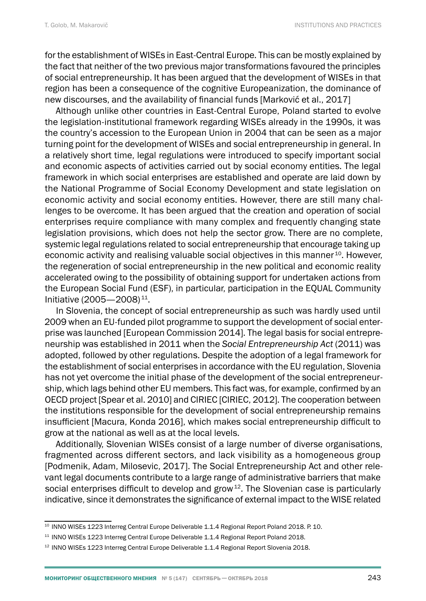for the establishment of WISEs in East-Central Europe. This can be mostly explained by the fact that neither of the two previous major transformations favoured the principles of social entrepreneurship. It has been argued that the development of WISEs in that region has been a consequence of the cognitive Europeanization, the dominance of new discourses, and the availability of financial funds [Marković et al., 2017]

Although unlike other countries in East-Central Europe, Poland started to evolve the legislation-institutional framework regarding WISEs already in the 1990s, it was the country's accession to the European Union in 2004 that can be seen as a major turning point for the development of WISEs and social entrepreneurship in general. In a relatively short time, legal regulations were introduced to specify important social and economic aspects of activities carried out by social economy entities. The legal framework in which social enterprises are established and operate are laid down by the National Programme of Social Economy Development and state legislation on economic activity and social economy entities. However, there are still many challenges to be overcome. It has been argued that the creation and operation of social enterprises require compliance with many complex and frequently changing state legislation provisions, which does not help the sector grow. There are no complete, systemic legal regulations related to social entrepreneurship that encourage taking up economic activity and realising valuable social objectives in this manner <sup>10</sup>. However, the regeneration of social entrepreneurship in the new political and economic reality accelerated owing to the possibility of obtaining support for undertaken actions from the European Social Fund (ESF), in particular, participation in the EQUAL Community Initiative (2005—2008) 11.

In Slovenia, the concept of social entrepreneurship as such was hardly used until 2009 when an EU-funded pilot programme to support the development of social enterprise was launched [European Commission 2014]. The legal basis for social entrepreneurship was established in 2011 when the *Social Entrepreneurship Act* (2011) was adopted, followed by other regulations. Despite the adoption of a legal framework for the establishment of social enterprises in accordance with the EU regulation, Slovenia has not yet overcome the initial phase of the development of the social entrepreneurship, which lags behind other EU members. This fact was, for example, confirmed by an OECD project [Spear et al. 2010] and CIRIEC [CIRIEC, 2012]. The cooperation between the institutions responsible for the development of social entrepreneurship remains insufficient [Macura, Konda 2016], which makes social entrepreneurship difficult to grow at the national as well as at the local levels.

Additionally, Slovenian WISEs consist of a large number of diverse organisations, fragmented across different sectors, and lack visibility as a homogeneous group [Podmenik, Adam, Milosevic, 2017]. The Social Entrepreneurship Act and other relevant legal documents contribute to a large range of administrative barriers that make social enterprises difficult to develop and grow<sup>12</sup>. The Slovenian case is particularly indicative, since it demonstrates the significance of external impact to the WISE related

<sup>&</sup>lt;sup>10</sup> INNO WISEs 1223 Interreg Central Europe Deliverable 1.1.4 Regional Report Poland 2018. P. 10.

<sup>&</sup>lt;sup>11</sup> INNO WISEs 1223 Interreg Central Europe Deliverable 1.1.4 Regional Report Poland 2018.

<sup>12</sup> INNO WISEs 1223 Interreg Central Europe Deliverable 1.1.4 Regional Report Slovenia 2018.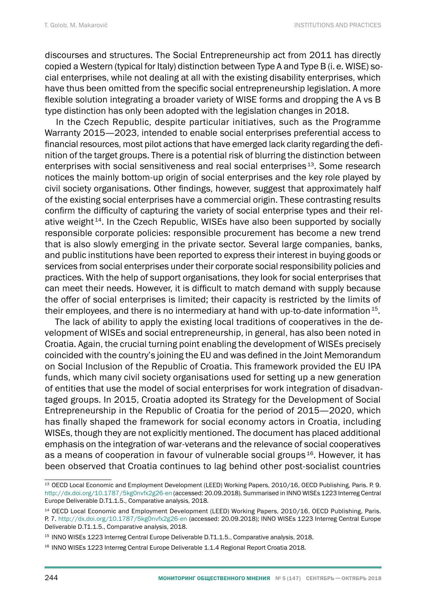discourses and structures. The Social Entrepreneurship act from 2011 has directly copied a Western (typical for Italy) distinction between Type A and Type B (i. e. WISE) social enterprises, while not dealing at all with the existing disability enterprises, which have thus been omitted from the specific social entrepreneurship legislation. A more flexible solution integrating a broader variety of WISE forms and dropping the A vs B type distinction has only been adopted with the legislation changes in 2018.

In the Czech Republic, despite particular initiatives, such as the Programme Warranty 2015—2023, intended to enable social enterprises preferential access to financial resources, most pilot actions that have emerged lack clarity regarding the definition of the target groups. There is a potential risk of blurring the distinction between enterprises with social sensitiveness and real social enterprises 13. Some research notices the mainly bottom-up origin of social enterprises and the key role played by civil society organisations. Other findings, however, suggest that approximately half of the existing social enterprises have a commercial origin. These contrasting results confirm the difficulty of capturing the variety of social enterprise types and their relative weight<sup>14</sup>. In the Czech Republic, WISEs have also been supported by socially responsible corporate policies: responsible procurement has become a new trend that is also slowly emerging in the private sector. Several large companies, banks, and public institutions have been reported to express their interest in buying goods or services from social enterprises under their corporate social responsibility policies and practices. With the help of support organisations, they look for social enterprises that can meet their needs. However, it is difficult to match demand with supply because the offer of social enterprises is limited; their capacity is restricted by the limits of their employees, and there is no intermediary at hand with up-to-date information 15.

The lack of ability to apply the existing local traditions of cooperatives in the development of WISEs and social entrepreneurship, in general, has also been noted in Croatia. Again, the crucial turning point enabling the development of WISEs precisely coincided with the country's joining the EU and was defined in the Joint Memorandum on Social Inclusion of the Republic of Croatia. This framework provided the EU IPA funds, which many civil society organisations used for setting up a new generation of entities that use the model of social enterprises for work integration of disadvantaged groups. In 2015, Croatia adopted its Strategy for the Development of Social Entrepreneurship in the Republic of Croatia for the period of 2015—2020, which has finally shaped the framework for social economy actors in Croatia, including WISEs, though they are not explicitly mentioned. The document has placed additional emphasis on the integration of war-veterans and the relevance of social cooperatives as a means of cooperation in favour of vulnerable social groups  $16$ . However, it has been observed that Croatia continues to lag behind other post-socialist countries

<sup>14</sup> OECD Local Economic and Employment Development (LEED) Working Papers, 2010/16, OECD Publishing, Paris. P. 7. <http://dx.doi.org/10.1787/5kg0nvfx2g26-en> (accessed: 20.09.2018); INNO WISEs 1223 Interreg Central Europe Deliverable D.T1.1.5., Comparative analysis, 2018.

<sup>13</sup> OECD Local Economic and Employment Development (LEED) Working Papers, 2010/16, OECD Publishing, Paris. P. 9. <http://dx.doi.org/10.1787/5kg0nvfx2g26-en>(accessed: 20.09.2018). Summarised in INNO WISEs 1223 Interreg Central Europe Deliverable D.T1.1.5., Comparative analysis, 2018.

<sup>&</sup>lt;sup>15</sup> INNO WISEs 1223 Interreg Central Europe Deliverable D.T1.1.5., Comparative analysis, 2018.

<sup>&</sup>lt;sup>16</sup> INNO WISEs 1223 Interreg Central Europe Deliverable 1.1.4 Regional Report Croatia 2018.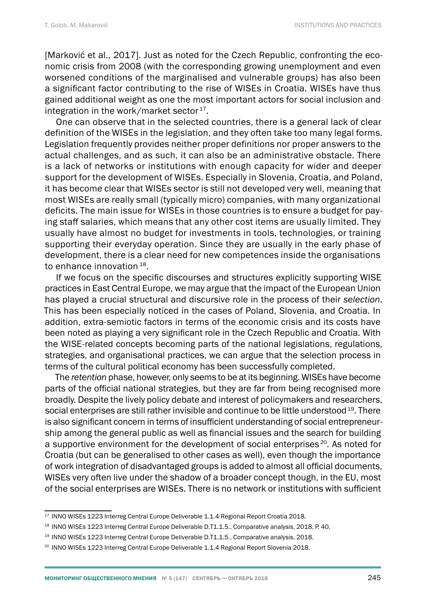[Marković et al., 2017]. Just as noted for the Czech Republic, confronting the economic crisis from 2008 (with the corresponding growing unemployment and even worsened conditions of the marginalised and vulnerable groups) has also been a significant factor contributing to the rise of WISEs in Croatia. WISEs have thus gained additional weight as one the most important actors for social inclusion and integration in the work/market sector<sup>17</sup>.

One can observe that in the selected countries, there is a general lack of clear definition of the WISEs in the legislation, and they often take too many legal forms. Legislation frequently provides neither proper definitions nor proper answers to the actual challenges, and as such, it can also be an administrative obstacle. There is a lack of networks or institutions with enough capacity for wider and deeper support for the development of WISEs. Especially in Slovenia, Croatia, and Poland, it has become clear that WISEs sector is still not developed very well, meaning that most WISEs are really small (typically micro) companies, with many organizational deficits. The main issue for WISEs in those countries is to ensure a budget for paying staff salaries, which means that any other cost items are usually limited. They usually have almost no budget for investments in tools, technologies, or training supporting their everyday operation. Since they are usually in the early phase of development, there is a clear need for new competences inside the organisations to enhance innovation 18.

If we focus on the specific discourses and structures explicitly supporting WISE practices in East Central Europe, we may argue that the impact of the European Union has played a crucial structural and discursive role in the process of their *selection*. This has been especially noticed in the cases of Poland, Slovenia, and Croatia. In addition, extra-semiotic factors in terms of the economic crisis and its costs have been noted as playing a very significant role in the Czech Republic and Croatia. With the WISE-related concepts becoming parts of the national legislations, regulations, strategies, and organisational practices, we can argue that the selection process in terms of the cultural political economy has been successfully completed.

The *retention* phase, however, only seems to be at its beginning. WISEs have become parts of the official national strategies, but they are far from being recognised more broadly. Despite the lively policy debate and interest of policymakers and researchers, social enterprises are still rather invisible and continue to be little understood <sup>19</sup>. There is also significant concern in terms of insufficient understanding of social entrepreneurship among the general public as well as financial issues and the search for building a supportive environment for the development of social enterprises  $20$ . As noted for Croatia (but can be generalised to other cases as well), even though the importance of work integration of disadvantaged groups is added to almost all official documents, WISEs very often live under the shadow of a broader concept though, in the EU, most of the social enterprises are WISEs. There is no network or institutions with sufficient

<sup>&</sup>lt;sup>17</sup> INNO WISEs 1223 Interreg Central Europe Deliverable 1.1.4 Regional Report Croatia 2018.

<sup>&</sup>lt;sup>18</sup> INNO WISEs 1223 Interreg Central Europe Deliverable D.T1.1.5., Comparative analysis, 2018. P. 40.

<sup>&</sup>lt;sup>19</sup> INNO WISEs 1223 Interreg Central Europe Deliverable D.T1.1.5., Comparative analysis, 2018.

<sup>&</sup>lt;sup>20</sup> INNO WISEs 1223 Interreg Central Europe Deliverable 1.1.4 Regional Report Slovenia 2018.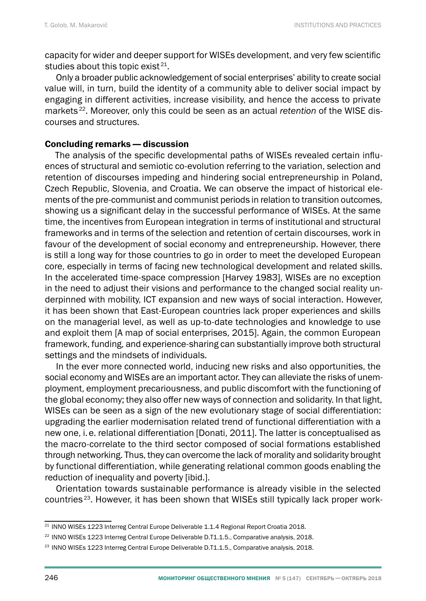capacity for wider and deeper support for WISEs development, and very few scientific studies about this topic exist  $21$ .

Only a broader public acknowledgement of social enterprises' ability to create social value will, in turn, build the identity of a community able to deliver social impact by engaging in different activities, increase visibility, and hence the access to private markets 22. Moreover, only this could be seen as an actual *retention* of the WISE discourses and structures.

### Concluding remarks— discussion

The analysis of the specific developmental paths of WISEs revealed certain influences of structural and semiotic co-evolution referring to the variation, selection and retention of discourses impeding and hindering social entrepreneurship in Poland, Czech Republic, Slovenia, and Croatia. We can observe the impact of historical elements of the pre-communist and communist periods in relation to transition outcomes, showing us a significant delay in the successful performance of WISEs. At the same time, the incentives from European integration in terms of institutional and structural frameworks and in terms of the selection and retention of certain discourses, work in favour of the development of social economy and entrepreneurship. However, there is still a long way for those countries to go in order to meet the developed European core, especially in terms of facing new technological development and related skills. In the accelerated time-space compression [Harvey 1983], WISEs are no exception in the need to adjust their visions and performance to the changed social reality underpinned with mobility, ICT expansion and new ways of social interaction. However, it has been shown that East-European countries lack proper experiences and skills on the managerial level, as well as up-to-date technologies and knowledge to use and exploit them [A map of social enterprises, 2015]. Again, the common European framework, funding, and experience-sharing can substantially improve both structural settings and the mindsets of individuals.

In the ever more connected world, inducing new risks and also opportunities, the social economy and WISEs are an important actor. They can alleviate the risks of unemployment, employment precariousness, and public discomfort with the functioning of the global economy; they also offer new ways of connection and solidarity. In that light, WISEs can be seen as a sign of the new evolutionary stage of social differentiation: upgrading the earlier modernisation related trend of functional differentiation with a new one, i.e. relational differentiation [Donati, 2011]. The latter is conceptualised as the macro-correlate to the third sector composed of social formations established through networking. Thus, they can overcome the lack of morality and solidarity brought by functional differentiation, while generating relational common goods enabling the reduction of inequality and poverty [ibid.].

Orientation towards sustainable performance is already visible in the selected countries 23. However, it has been shown that WISEs still typically lack proper work-

<sup>&</sup>lt;sup>21</sup> INNO WISEs 1223 Interreg Central Europe Deliverable 1.1.4 Regional Report Croatia 2018.

<sup>&</sup>lt;sup>22</sup> INNO WISEs 1223 Interreg Central Europe Deliverable D.T1.1.5., Comparative analysis, 2018.

<sup>&</sup>lt;sup>23</sup> INNO WISEs 1223 Interreg Central Europe Deliverable D.T1.1.5., Comparative analysis, 2018.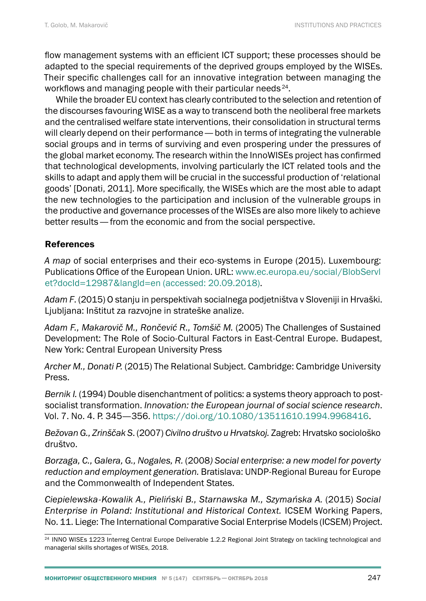flow management systems with an efficient ICT support; these processes should be adapted to the special requirements of the deprived groups employed by the WISEs. Their specific challenges call for an innovative integration between managing the workflows and managing people with their particular needs 24.

While the broader EU context has clearly contributed to the selection and retention of the discourses favouring WISE as a way to transcend both the neoliberal free markets and the centralised welfare state interventions, their consolidation in structural terms will clearly depend on their performance— both in terms of integrating the vulnerable social groups and in terms of surviving and even prospering under the pressures of the global market economy. The research within the InnoWISEs project has confirmed that technological developments, involving particularly the ICT related tools and the skills to adapt and apply them will be crucial in the successful production of 'relational goods' [Donati, 2011]. More specifically, the WISEs which are the most able to adapt the new technologies to the participation and inclusion of the vulnerable groups in the productive and governance processes of the WISEs are also more likely to achieve better results— from the economic and from the social perspective.

## References

*A map* of social enterprises and their eco-systems in Europe (2015). Luxembourg: Publications Office of the European Union. URL: [www.ec.europa.eu/social/BlobServl](http://www.ec.europa.eu/social/BlobServlet?docId=12987&langId=en) [et?docId=12987&langId=en](http://www.ec.europa.eu/social/BlobServlet?docId=12987&langId=en) (accessed: 20.09.2018).

*Adam F*. (2015) O stanju in perspektivah socialnega podjetništva v Sloveniji in Hrvaški. Ljubljana: Inštitut za razvojne in strateške analize.

*Adam F., Makarovič M., Rončević R., Tomšič M.* (2005) The Challenges of Sustained Development: The Role of Socio-Cultural Factors in East-Central Europe. Budapest, New York: Central European University Press

*Archer M., Donati P.* (2015) The Relational Subject. Cambridge: Cambridge University Press.

*Bernik I.* (1994) Double disenchantment of politics: a systems theory approach to postsocialist transformation. *Innovation: the European journal of social science research*. Vol. 7. No. 4. P. 345—356. [https://doi.org/10.1080/13511610.1994.9968416.](https://doi.org/10.1080/13511610.1994.9968416)

*Bežovan G., Zrinščak S*. (2007) *Civilno društvo u Hrvatskoj.* Zagreb: Hrvatsko sociološko društvo.

*Borzaga, C., Galera, G., Nogales, R.* (2008*) Social enterprise: a new model for poverty reduction and employment generation.* Bratislava: UNDP-Regional Bureau for Europe and the Commonwealth of Independent States.

*Ciepielewska-Kowalik A., Pieliński B., Starnawska M., Szymańska A.* (2015) *Social Enterprise in Poland: Institutional and Historical Context.* ICSEM Working Papers, No. 11. Liege: The International Comparative Social Enterprise Models (ICSEM) Project.

<sup>24</sup> INNO WISEs 1223 Interreg Central Europe Deliverable 1.2.2 Regional Joint Strategy on tackling technological and managerial skills shortages of WISEs, 2018.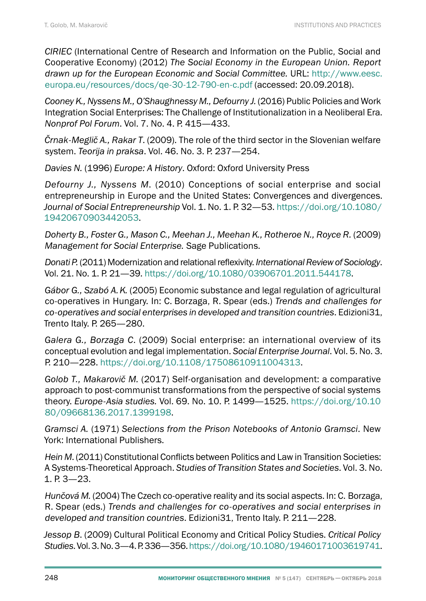*CIRIEC* (International Centre of Research and Information on the Public, Social and Cooperative Economy) (2012) *The Social Economy in the European Union. Report drawn up for the European Economic and Social Committee.* URL: [http://www.eesc.](http://www.eesc.europa.eu/resources/docs/qe-30-12-790-en-c.pdf) [europa.eu/resources/docs/qe-30-12-790-en-c.pdf](http://www.eesc.europa.eu/resources/docs/qe-30-12-790-en-c.pdf) (accessed: 20.09.2018).

*Cooney K., Nyssens M., O'Shaughnessy M., Defourny J.* (2016) Public Policies and Work Integration Social Enterprises: The Challenge of Institutionalization in a Neoliberal Era. *Nonprof Pol Forum*. Vol. 7. No. 4. P. 415—433.

*Črnak-Meglič A., Rakar T*. (2009). The role of the third sector in the Slovenian welfare system. *[Teorija in praksa](http://www.dlib.si/results/?&query=%27rele%253dTeorija%2bin%2bpraksa%27)*. Vol. 46. No. 3. P. 237—254.

*Davies N.* (1996) *Europe: A History*. Oxford: Oxford University Press

*Defourny J., Nyssens M*. (2010) Conceptions of social enterprise and social entrepreneurship in Europe and the United States: Convergences and divergences. *Journal of Social Entrepreneurship* Vol. 1. No. 1. P. 32—53. [https://doi.org/10.1080/](https://doi.org/10.1080/19420670903442053) [19420670903442053.](https://doi.org/10.1080/19420670903442053)

*Doherty B., Foster G., Mason C., Meehan J., Meehan K., Rotheroe N., Royce R.* (2009) *Management for Social Enterprise.* Sage Publications.

*Donati P.* (2011) Modernization and relational reflexivity. *International Review of Sociology*. Vol. 21. No. 1. P. 21—39. [https://doi.org/10.1080/03906701.2011.544178.](https://doi.org/10.1080/03906701.2011.544178)

*Gábor G., Szabó A.K.* (2005) Economic substance and legal regulation of agricultural co-operatives in Hungary. In: C. Borzaga, R. Spear (eds.) *Trends and challenges for co-operatives and social enterprises in developed and transition countries*. Edizioni31, Trento Italy. P. 265—280.

*Galera G., Borzaga C*. (2009) Social enterprise: an international overview of its conceptual evolution and legal implementation. *Social Enterprise Journal*. Vol. 5. No. 3. P. 210—228.<https://doi.org/10.1108/17508610911004313>.

*Golob T., Makarovič M.* (2017) Self-organisation and development: a comparative approach to post-communist transformations from the perspective of social systems theory. *Europe-Asia studies.* Vol. 69. No. 10. P. 1499—1525. [https://doi.org/10.10](https://doi.org/10.1080/09668136.2017.1399198) [80/09668136.2017.1399198.](https://doi.org/10.1080/09668136.2017.1399198)

*Gramsci A.* (1971) *Selections from the Prison Notebooks of Antonio Gramsci*. New York: International Publishers.

*Hein M*. (2011) Constitutional Conflicts between Politics and Law in Transition Societies: A Systems-Theoretical Approach. *Studies of Transition States and Societies*. Vol. 3. No. 1. P. 3—23.

*Hunčová M.* (2004) The Czech co-operative reality and its social aspects. In: C. Borzaga, R. Spear (eds.) *Trends and challenges for co-operatives and social enterprises in developed and transition countries*. Edizioni31, Trento Italy. P. 211—228.

*Jessop B*. (2009) Cultural Political Economy and Critical Policy Studies. *Critical Policy Studies*. Vol. 3. No. 3—4. P. 336—356.<https://doi.org/10.1080/19460171003619741>.